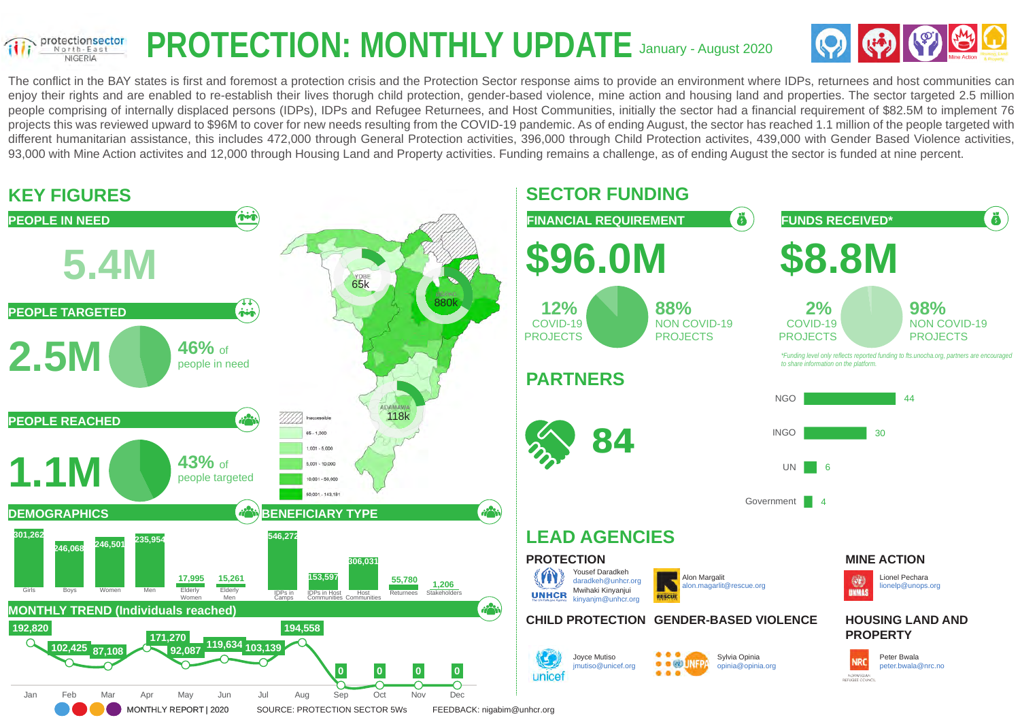#### **PROTECTION: MONTHLY UPDATE** January - August 2020 protectionsector North-East **NIGERIA**



The conflict in the BAY states is first and foremost a protection crisis and the Protection Sector response aims to provide an environment where IDPs, returnees and host communities can enjoy their rights and are enabled to re-establish their lives thorugh child protection, gender-based violence, mine action and housing land and properties. The sector targeted 2.5 million people comprising of internally displaced persons (IDPs), IDPs and Refugee Returnees, and Host Communities, initially the sector had a financial requirement of \$82.5M to implement 76 projects this was reviewed upward to \$96M to cover for new needs resulting from the COVID-19 pandemic. As of ending August, the sector has reached 1.1 million of the people targeted with different humanitarian assistance, this includes 472,000 through General Protection activities, 396,000 through Child Protection activites, 439,000 with Gender Based Violence activities, 93,000 with Mine Action activites and 12,000 through Housing Land and Property activities. Funding remains a challenge, as of ending August the sector is funded at nine percent.

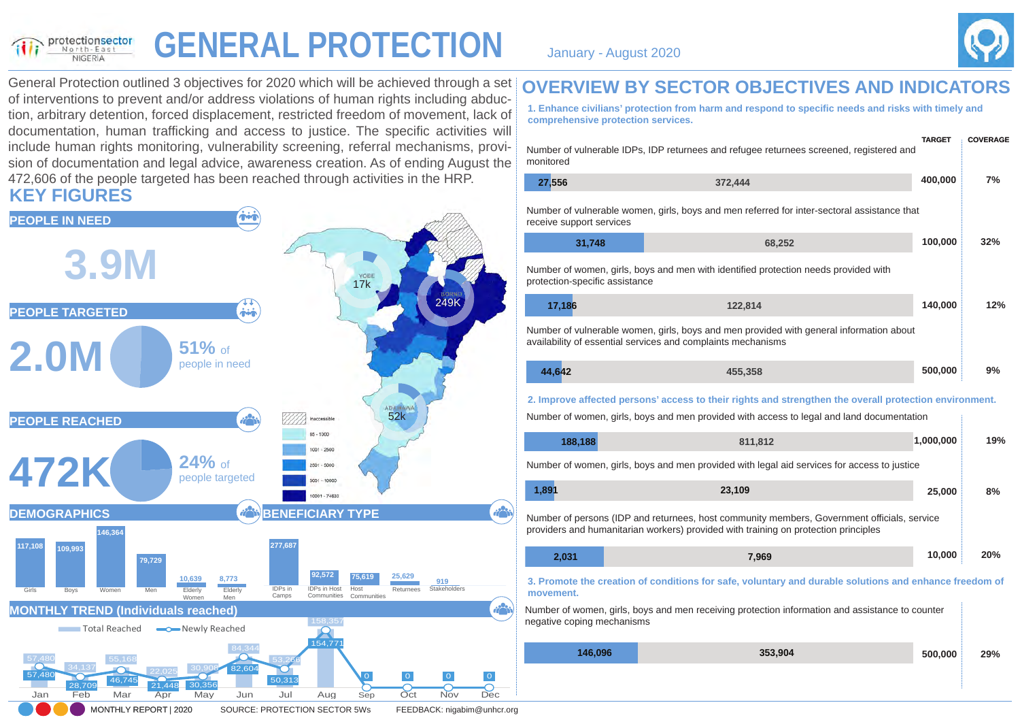#### **GENERAL PROTECTION** January - August 2020 protectionsector NIGERIA



General Protection outlined 3 objectives for 2020 which will be achieved through a set of interventions to prevent and/or address violations of human rights including abduction, arbitrary detention, forced displacement, restricted freedom of movement, lack of documentation, human trafficking and access to justice. The specific activities will include human rights monitoring, vulnerability screening, referral mechanisms, provision of documentation and legal advice, awareness creation. As of ending August the 472,606 of the people targeted has been reached through activities in the HRP. **KEY FIGURES**



#### **OVERVIEW BY SECTOR OBJECTIVES AND INDICATORS**

**1. Enhance civilians' protection from harm and respond to specific needs and risks with timely and comprehensive protection services.**

| monitored                      | Number of vulnerable IDPs, IDP returnees and refugee returnees screened, registered and                                                                                                             | <b>TARGET</b> | <b>COVERAGE</b> |
|--------------------------------|-----------------------------------------------------------------------------------------------------------------------------------------------------------------------------------------------------|---------------|-----------------|
| 27,556                         | 372,444                                                                                                                                                                                             | 400,000       | 7%              |
| receive support services       | Number of vulnerable women, girls, boys and men referred for inter-sectoral assistance that                                                                                                         |               |                 |
| 31,748                         | 68,252                                                                                                                                                                                              | 100,000       | 32%             |
| protection-specific assistance | Number of women, girls, boys and men with identified protection needs provided with                                                                                                                 |               |                 |
| 17,186                         | 122,814                                                                                                                                                                                             | 140,000       | 12%             |
|                                | Number of vulnerable women, girls, boys and men provided with general information about<br>availability of essential services and complaints mechanisms                                             |               |                 |
| 44,642                         | 455,358                                                                                                                                                                                             | 500,000       | 9%              |
|                                | 2. Improve affected persons' access to their rights and strengthen the overall protection environment.<br>Number of women, girls, boys and men provided with access to legal and land documentation |               |                 |
| 188,188                        | 811,812                                                                                                                                                                                             | 1,000,000     | 19%             |
|                                | Number of women, girls, boys and men provided with legal aid services for access to justice                                                                                                         |               |                 |
| 1,891                          | 23,109                                                                                                                                                                                              | 25,000        | 8%              |
|                                | Number of persons (IDP and returnees, host community members, Government officials, service<br>providers and humanitarian workers) provided with training on protection principles                  |               |                 |
| 2,031                          | 7,969                                                                                                                                                                                               | 10,000        | 20%             |
| movement.                      | 3. Promote the creation of conditions for safe, voluntary and durable solutions and enhance freedom of                                                                                              |               |                 |
| negative coping mechanisms     | Number of women, girls, boys and men receiving protection information and assistance to counter                                                                                                     |               |                 |
| 146,096                        | 353,904                                                                                                                                                                                             | 500,000       | 29%             |
|                                |                                                                                                                                                                                                     |               |                 |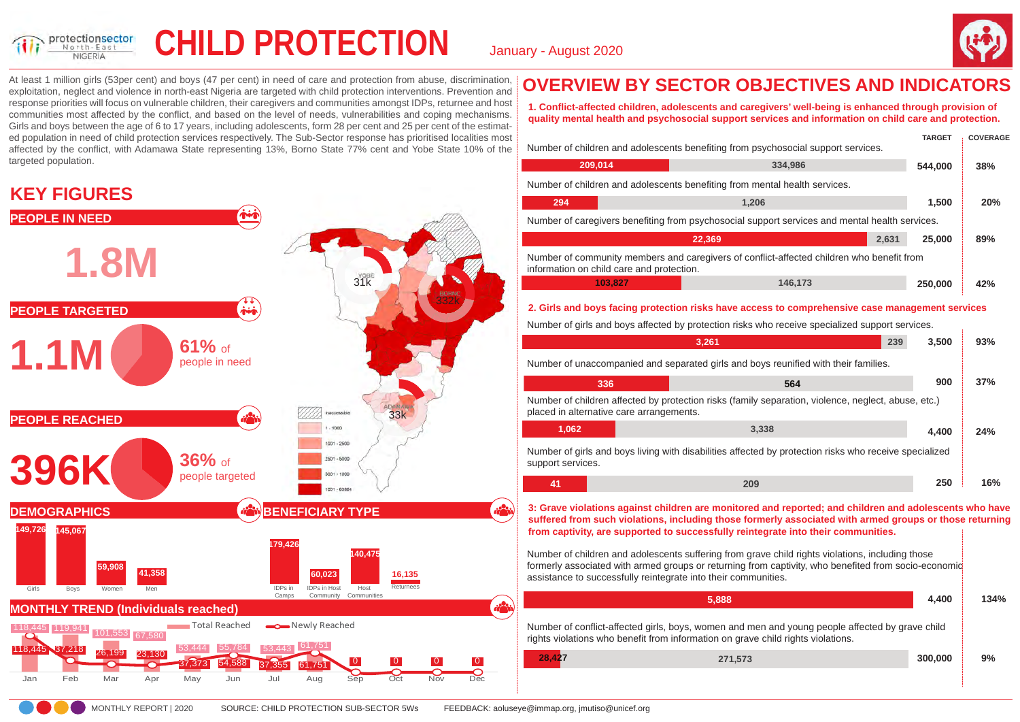

## **CHILD PROTECTION** January - August 2020



At least 1 million girls (53per cent) and boys (47 per cent) in need of care and protection from abuse, discrimination, exploitation, neglect and violence in north-east Nigeria are targeted with child protection interventions. Prevention and response priorities will focus on vulnerable children, their caregivers and communities amongst IDPs, returnee and host communities most affected by the conflict, and based on the level of needs, vulnerabilities and coping mechanisms. Girls and boys between the age of 6 to 17 years, including adolescents, form 28 per cent and 25 per cent of the estimated population in need of child protection services respectively. The Sub-Sector response has prioritised localities most affected by the conflict, with Adamawa State representing 13%, Borno State 77% cent and Yobe State 10% of the targeted population.

#### **KEY FIGURES**



## **OVERVIEW BY SECTOR OBJECTIVES AND INDICATORS**

**1. Conflict-affected children, adolescents and caregivers' well-being is enhanced through provision of quality mental health and psychosocial support services and information on child care and protection.**

|                                                                                                                                        | Number of children and adolescents benefiting from psychosocial support services.               |       | <b>TARGET</b> | <b>COVERAGE</b> |
|----------------------------------------------------------------------------------------------------------------------------------------|-------------------------------------------------------------------------------------------------|-------|---------------|-----------------|
| 209,014                                                                                                                                | 334,986                                                                                         |       | 544.000       | 38%             |
|                                                                                                                                        | Number of children and adolescents benefiting from mental health services.                      |       |               |                 |
| 294                                                                                                                                    | 1,206                                                                                           |       | 1,500         | <b>20%</b>      |
| Number of caregivers benefiting from psychosocial support services and mental health services.                                         |                                                                                                 |       |               |                 |
|                                                                                                                                        | 22,369                                                                                          | 2,631 | 25,000        | 89%             |
| Number of community members and caregivers of conflict-affected children who benefit from<br>information on child care and protection. |                                                                                                 |       |               |                 |
| 103,827                                                                                                                                | 146,173                                                                                         |       | 250,000       | 42%             |
|                                                                                                                                        | 2. Girls and boys facing protection risks have access to comprehensive case management services |       |               |                 |
|                                                                                                                                        | Number of girls and boys affected by protection risks who receive specialized support services. |       |               |                 |
|                                                                                                                                        | 3,261                                                                                           | 239   | 3,500         | 93%             |
| Number of unaccompanied and separated girls and boys reunified with their families.                                                    |                                                                                                 |       |               |                 |
| 336                                                                                                                                    | 564                                                                                             |       | 900           | 37%             |

|                   |                                          | $-1 -$                                                                                                 |       |     |
|-------------------|------------------------------------------|--------------------------------------------------------------------------------------------------------|-------|-----|
|                   | placed in alternative care arrangements. | Number of children affected by protection risks (family separation, violence, neglect, abuse, etc.)    |       |     |
| 1.062             |                                          | 3.338                                                                                                  | 4.400 | 24% |
| support services. |                                          | Number of girls and boys living with disabilities affected by protection risks who receive specialized |       |     |
| 41                |                                          | 209                                                                                                    | 250   | 16% |

**3: Grave violations against children are monitored and reported; and children and adolescents who have suffered from such violations, including those formerly associated with armed groups or those returning from captivity, are supported to successfully reintegrate into their communities.**

Number of children and adolescents suffering from grave child rights violations, including those formerly associated with armed groups or returning from captivity, who benefited from socio-economic assistance to successfully reintegrate into their communities.

| 5.888                                                                                                                                                                               | 4.400   | 134% |
|-------------------------------------------------------------------------------------------------------------------------------------------------------------------------------------|---------|------|
| Number of conflict-affected girls, boys, women and men and young people affected by grave child<br>rights violations who benefit from information on grave child rights violations. |         |      |
| 28.427<br>271.573                                                                                                                                                                   | 300,000 | 9%   |
|                                                                                                                                                                                     |         |      |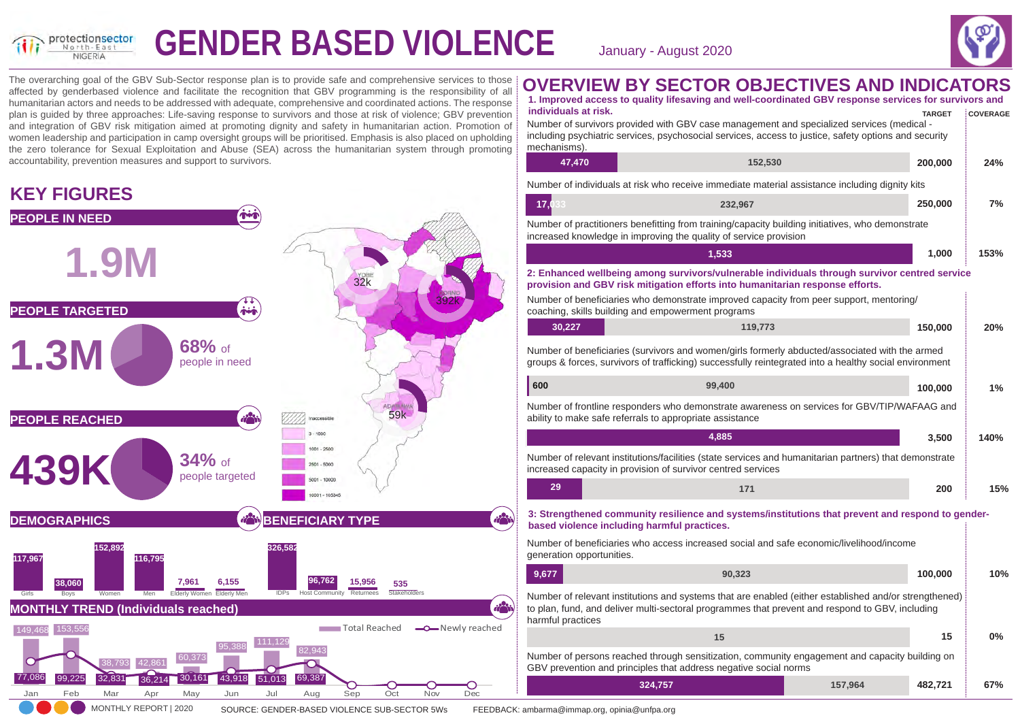

# **GENDER BASED VIOLENCE** January - August 2020



The overarching goal of the GBV Sub-Sector response plan is to provide safe and comprehensive services to those affected by genderbased violence and facilitate the recognition that GBV programming is the responsibility of all humanitarian actors and needs to be addressed with adequate, comprehensive and coordinated actions. The response plan is guided by three approaches: Life-saving response to survivors and those at risk of violence; GBV prevention and integration of GBV risk mitigation aimed at promoting dignity and safety in humanitarian action. Promotion of women leadership and participation in camp oversight groups will be prioritised. Emphasis is also placed on upholding the zero tolerance for Sexual Exploitation and Abuse (SEA) across the humanitarian system through promoting accountability, prevention measures and support to survivors.

### **KEY FIGURES**



#### **OVERVIEW BY SECTOR OBJECTIVES AND INDICATORS**

|                                      | 1. Improved access to quality lifesaving and well-coordinated GBV response services for survivors and                                                                                                    |         |               |                 |
|--------------------------------------|----------------------------------------------------------------------------------------------------------------------------------------------------------------------------------------------------------|---------|---------------|-----------------|
| individuals at risk.<br>mechanisms). | Number of survivors provided with GBV case management and specialized services (medical -<br>including psychiatric services, psychosocial services, access to justice, safety options and security       |         | <b>TARGET</b> | <b>COVERAGE</b> |
| 47,470                               | 152,530                                                                                                                                                                                                  |         | 200,000       | 24%             |
|                                      | Number of individuals at risk who receive immediate material assistance including dignity kits                                                                                                           |         |               |                 |
| 17.<br>33                            | 232,967                                                                                                                                                                                                  |         | 250,000       | 7%              |
|                                      | Number of practitioners benefitting from training/capacity building initiatives, who demonstrate<br>increased knowledge in improving the quality of service provision                                    |         |               |                 |
|                                      | 1,533                                                                                                                                                                                                    |         | 1,000         | 153%            |
|                                      | 2: Enhanced wellbeing among survivors/vulnerable individuals through survivor centred service<br>provision and GBV risk mitigation efforts into humanitarian response efforts.                           |         |               |                 |
|                                      | Number of beneficiaries who demonstrate improved capacity from peer support, mentoring/<br>coaching, skills building and empowerment programs                                                            |         |               |                 |
| 30,227                               | 119,773                                                                                                                                                                                                  |         | 150,000       | 20%             |
|                                      | Number of beneficiaries (survivors and women/girls formerly abducted/associated with the armed<br>groups & forces, survivors of trafficking) successfully reintegrated into a healthy social environment |         |               |                 |
| 600                                  | 99,400                                                                                                                                                                                                   |         | 100,000       | 1%              |
|                                      | Number of frontline responders who demonstrate awareness on services for GBV/TIP/WAFAAG and<br>ability to make safe referrals to appropriate assistance                                                  |         |               |                 |
|                                      | 4,885                                                                                                                                                                                                    |         | 3,500         | 140%            |
|                                      | Number of relevant institutions/facilities (state services and humanitarian partners) that demonstrate<br>increased capacity in provision of survivor centred services                                   |         |               |                 |
| 29                                   | 171                                                                                                                                                                                                      |         | 200           | 15%             |
|                                      | 3: Strengthened community resilience and systems/institutions that prevent and respond to gender-<br>based violence including harmful practices.                                                         |         |               |                 |
| generation opportunities.            | Number of beneficiaries who access increased social and safe economic/livelihood/income                                                                                                                  |         |               |                 |
| 9,677                                | 90,323                                                                                                                                                                                                   |         | 100,000       | 10%             |
| harmful practices                    | Number of relevant institutions and systems that are enabled (either established and/or strengthened)<br>to plan, fund, and deliver multi-sectoral programmes that prevent and respond to GBV, including |         |               |                 |
|                                      | 15                                                                                                                                                                                                       |         | 15            | 0%              |
|                                      | Number of persons reached through sensitization, community engagement and capacity building on<br>GBV prevention and principles that address negative social norms                                       |         |               |                 |
|                                      | 324,757                                                                                                                                                                                                  | 157,964 | 482,721       | 67%             |
|                                      |                                                                                                                                                                                                          |         |               |                 |